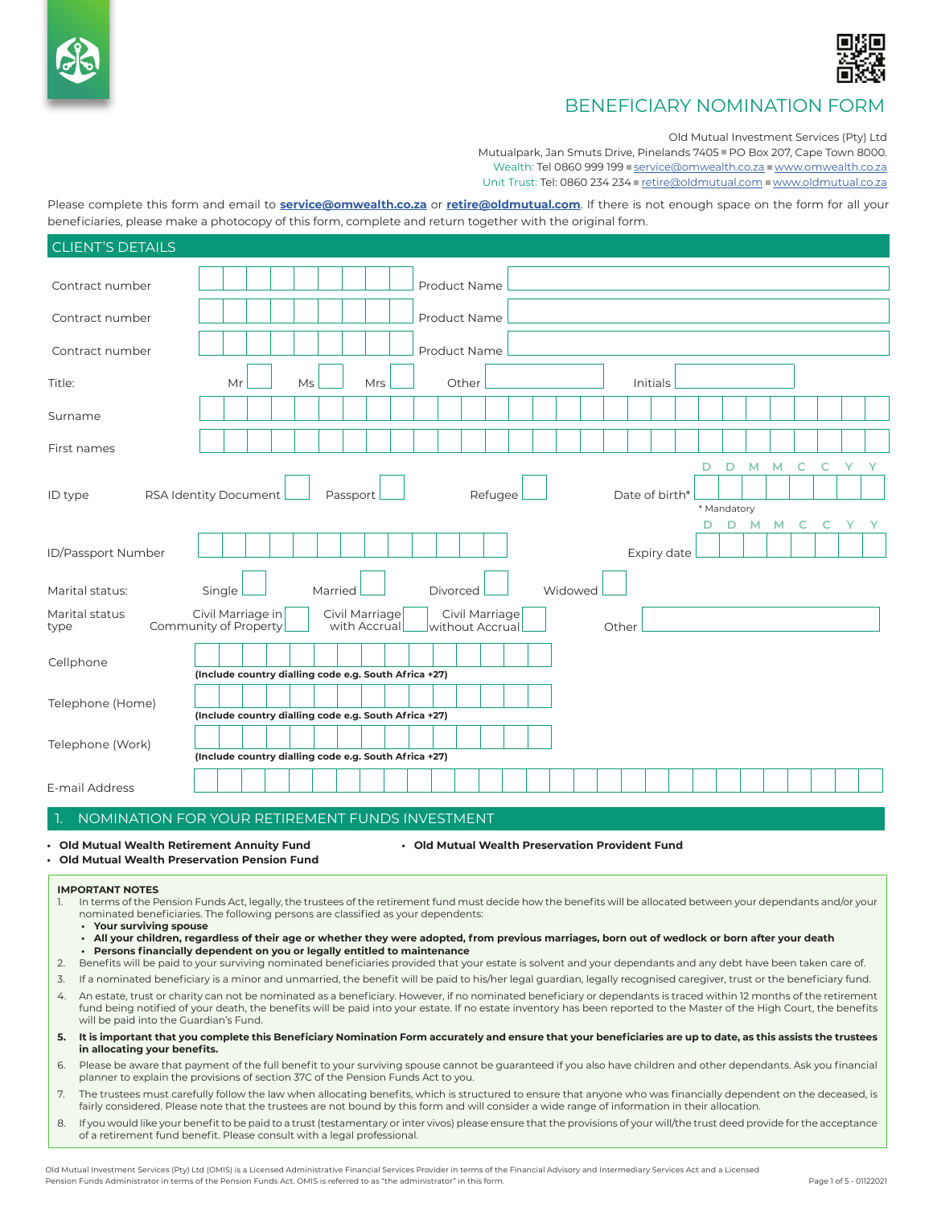



Old Mutual Investment Services (Pty) Ltd

Mutualpark, Jan Smuts Drive, Pinelands 7405 = PO Box 207, Cape Town 8000. Wealth: Tel 0860 999 199 service@omwealth.co.za www.omwealth.co.za

Unit Trust: Tel: 0860 234 234 retire@oldmutual.com www.oldmutual.co.za

Please complete this form and email to **[service@omwealth.co.za](mailto:service@omwealth.co.za)** or **[retire@oldmutual.com](mailto:retire@oldmutual.com)**. If there is not enough space on the form for all your beneficiaries, please make a photocopy of this form, complete and return together with the original form.

| <b>CLIENT'S DETAILS</b>                         |                                                       |                                                                |  |  |    |         |  |                                |  |  |                   |       |                |  |         |   |       |             |   |   |   |   |   |   |   |   |  |
|-------------------------------------------------|-------------------------------------------------------|----------------------------------------------------------------|--|--|----|---------|--|--------------------------------|--|--|-------------------|-------|----------------|--|---------|---|-------|-------------|---|---|---|---|---|---|---|---|--|
| Contract number                                 |                                                       |                                                                |  |  |    |         |  |                                |  |  | Product Name      |       |                |  |         |   |       |             |   |   |   |   |   |   |   |   |  |
| Contract number                                 |                                                       |                                                                |  |  |    |         |  |                                |  |  | Product Name      |       |                |  |         |   |       |             |   |   |   |   |   |   |   |   |  |
| Contract number                                 |                                                       |                                                                |  |  |    |         |  |                                |  |  | Product Name      |       |                |  |         |   |       |             |   |   |   |   |   |   |   |   |  |
| Title:                                          |                                                       | Mr                                                             |  |  | Ms |         |  | Mrs                            |  |  |                   | Other |                |  |         |   |       | Initials    |   |   |   |   |   |   |   |   |  |
| Surname                                         |                                                       |                                                                |  |  |    |         |  |                                |  |  |                   |       |                |  |         |   |       |             |   |   |   |   |   |   |   |   |  |
| First names                                     |                                                       |                                                                |  |  |    |         |  |                                |  |  |                   |       |                |  |         |   |       |             |   |   |   |   |   |   |   |   |  |
|                                                 |                                                       |                                                                |  |  |    |         |  |                                |  |  |                   |       |                |  |         |   |       |             |   | Ð | D | M | M | C | C | Y |  |
| ID type                                         |                                                       | Date of birth*<br>RSA Identity Document<br>Passport<br>Refugee |  |  |    |         |  |                                |  |  |                   |       | * Mandatory    |  |         |   |       |             |   |   |   |   |   |   |   |   |  |
|                                                 |                                                       |                                                                |  |  |    |         |  |                                |  |  |                   |       |                |  | D.      | D | M     | м           | C | C |   |   |   |   |   |   |  |
| ID/Passport Number                              |                                                       |                                                                |  |  |    |         |  |                                |  |  |                   |       |                |  |         |   |       | Expiry date |   |   |   |   |   |   |   |   |  |
| Marital status:                                 | Single                                                |                                                                |  |  |    | Married |  |                                |  |  | Divorced          |       |                |  | Widowed |   |       |             |   |   |   |   |   |   |   |   |  |
| Marital status<br>Community of Property<br>type | Civil Marriage in                                     |                                                                |  |  |    |         |  | Civil Marriage<br>with Accrual |  |  | without Accrual   |       | Civil Marriage |  |         |   | Other |             |   |   |   |   |   |   |   |   |  |
| Cellphone                                       | (Include country dialling code e.g. South Africa +27) |                                                                |  |  |    |         |  |                                |  |  |                   |       |                |  |         |   |       |             |   |   |   |   |   |   |   |   |  |
|                                                 |                                                       |                                                                |  |  |    |         |  |                                |  |  |                   |       |                |  |         |   |       |             |   |   |   |   |   |   |   |   |  |
| Telephone (Home)                                | (Include country dialling code e.g. South Africa +27) |                                                                |  |  |    |         |  |                                |  |  |                   |       |                |  |         |   |       |             |   |   |   |   |   |   |   |   |  |
| Telephone (Work)                                | (Include country dialling code e.g. South Africa +27) |                                                                |  |  |    |         |  |                                |  |  |                   |       |                |  |         |   |       |             |   |   |   |   |   |   |   |   |  |
| E-mail Address<br><b>TALOMATION</b>             |                                                       |                                                                |  |  |    |         |  |                                |  |  | FULLOCULATO THE T |       |                |  |         |   |       |             |   |   |   |   |   |   |   |   |  |

#### 1. NOMINATION FOR YOUR RETIREMENT FUNDS INVESTMENT

- 
- **• Old Mutual Wealth Retirement Annuity Fund • Old Mutual Wealth Preservation Provident Fund**
- **• Old Mutual Wealth Preservation Pension Fund**
- **IMPORTANT NOTES** 
	- In terms of the Pension Funds Act, legally, the trustees of the retirement fund must decide how the benefits will be allocated between your dependants and/or your nominated beneficiaries. The following persons are classified as your dependents:
	- **• Your surviving spouse**
	- **• All your children, regardless of their age or whether they were adopted, from previous marriages, born out of wedlock or born after your death • Persons financially dependent on you or legally entitled to maintenance**
- 2. Benefits will be paid to your surviving nominated beneficiaries provided that your estate is solvent and your dependants and any debt have been taken care of.
- 3. If a nominated beneficiary is a minor and unmarried, the benefit will be paid to his/her legal guardian, legally recognised caregiver, trust or the beneficiary fund.
- 4. An estate, trust or charity can not be nominated as a beneficiary. However, if no nominated beneficiary or dependants is traced within 12 months of the retirement fund being notified of your death, the benefits will be paid into your estate. If no estate inventory has been reported to the Master of the High Court, the benefits will be paid into the Guardian's Fund.
- **5. It is important that you complete this Beneficiary Nomination Form accurately and ensure that your beneficiaries are up to date, as this assists the trustees in allocating your benefits.**
- 6. Please be aware that payment of the full benefit to your surviving spouse cannot be guaranteed if you also have children and other dependants. Ask you financial planner to explain the provisions of section 37C of the Pension Funds Act to you.
- 7. The trustees must carefully follow the law when allocating benefits, which is structured to ensure that anyone who was financially dependent on the deceased, is fairly considered. Please note that the trustees are not bound by this form and will consider a wide range of information in their allocation.
- 8. If you would like your benefit to be paid to a trust (testamentary or inter vivos) please ensure that the provisions of your will/the trust deed provide for the acceptance of a retirement fund benefit. Please consult with a legal professional.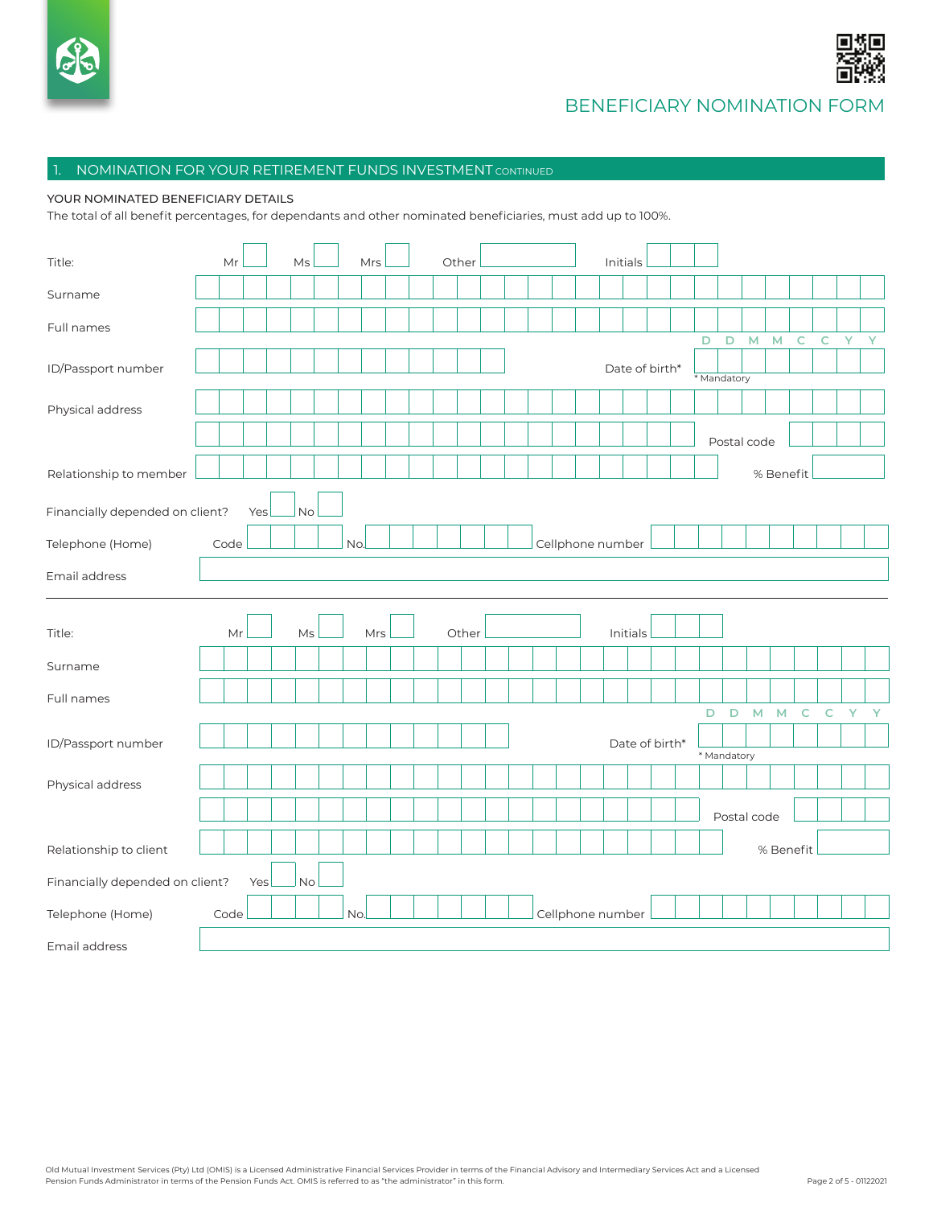



### 1. NOMINATION FOR YOUR RETIREMENT FUNDS INVESTMENT CONTINUED

#### YOUR NOMINATED BENEFICIARY DETAILS

The total of all benefit percentages, for dependants and other nominated beneficiaries, must add up to 100%.

| Title:                          | Mr   |     | Ms | Mrs |     |  | Other |  |  |                  | Initials       |  |                  |             |             |                    |             |               |       |              |
|---------------------------------|------|-----|----|-----|-----|--|-------|--|--|------------------|----------------|--|------------------|-------------|-------------|--------------------|-------------|---------------|-------|--------------|
| Surname                         |      |     |    |     |     |  |       |  |  |                  |                |  |                  |             |             |                    |             |               |       |              |
| Full names                      |      |     |    |     |     |  |       |  |  |                  |                |  |                  |             |             |                    |             |               |       |              |
| ID/Passport number              |      |     |    |     |     |  |       |  |  |                  | Date of birth* |  | D<br>* Mandatory | $\mathsf D$ | M           | $\mathsf{M}% _{0}$ | $\mathsf C$ | ${\mathsf C}$ | $- Y$ | $\mathbf{Y}$ |
| Physical address                |      |     |    |     |     |  |       |  |  |                  |                |  |                  |             |             |                    |             |               |       |              |
|                                 |      |     |    |     |     |  |       |  |  |                  |                |  |                  |             | Postal code |                    |             |               |       |              |
| Relationship to member          |      |     |    |     |     |  |       |  |  |                  |                |  |                  |             |             | % Benefit          |             |               |       |              |
| Financially depended on client? |      | Yes | No |     |     |  |       |  |  |                  |                |  |                  |             |             |                    |             |               |       |              |
| Telephone (Home)                | Code |     |    | No. |     |  |       |  |  | Cellphone number |                |  |                  |             |             |                    |             |               |       |              |
| Email address                   |      |     |    |     |     |  |       |  |  |                  |                |  |                  |             |             |                    |             |               |       |              |
| Title:                          |      | Mr  | Ms |     | Mrs |  | Other |  |  |                  | Initials       |  |                  |             |             |                    |             |               |       |              |
| Surname                         |      |     |    |     |     |  |       |  |  |                  |                |  |                  |             |             |                    |             |               |       |              |
| Full names                      |      |     |    |     |     |  |       |  |  |                  |                |  | D                | D           | M           | M                  | C           | $\mathsf{C}$  | Y     | Y            |
| ID/Passport number              |      |     |    |     |     |  |       |  |  |                  | Date of birth* |  | * Mandatory      |             |             |                    |             |               |       |              |
| Physical address                |      |     |    |     |     |  |       |  |  |                  |                |  |                  |             |             |                    |             |               |       |              |
|                                 |      |     |    |     |     |  |       |  |  |                  |                |  |                  |             |             |                    |             |               |       |              |
|                                 |      |     |    |     |     |  |       |  |  |                  |                |  |                  |             | Postal code |                    |             |               |       |              |
| Relationship to client          |      |     |    |     |     |  |       |  |  |                  |                |  |                  |             |             | % Benefit          |             |               |       |              |
| Financially depended on client? |      | Yes | No |     |     |  |       |  |  |                  |                |  |                  |             |             |                    |             |               |       |              |
| Telephone (Home)                | Code |     |    | No. |     |  |       |  |  | Cellphone number |                |  |                  |             |             |                    |             |               |       |              |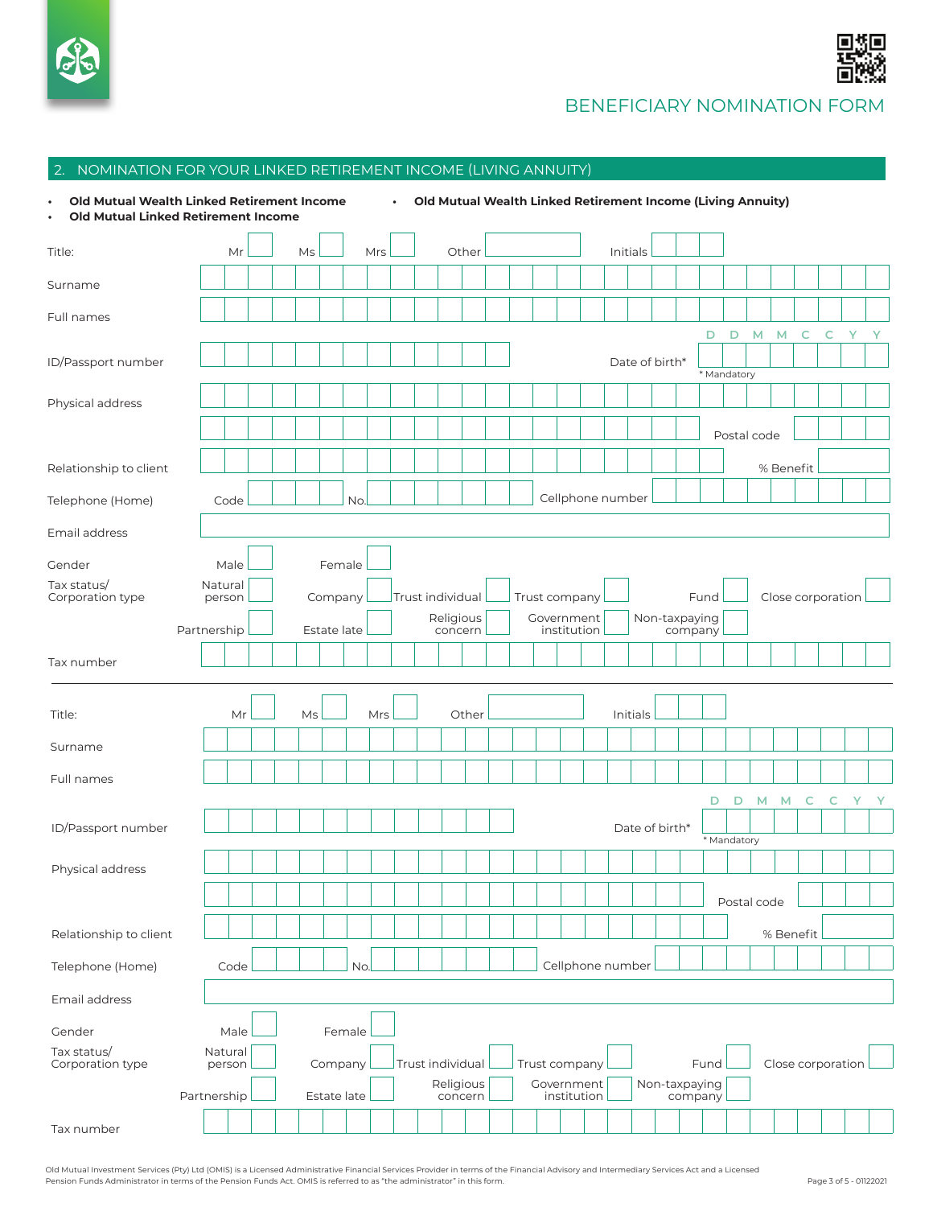



# 2. NOMINATION FOR YOUR LINKED RETIREMENT INCOME (LIVING ANNUITY)

| Old Mutual Wealth Linked Retirement Income<br><b>Old Mutual Linked Retirement Income</b><br>$\bullet$ |                   |      |  |    |             |     |     | $\bullet$        |                  |                      |                      |  |               |                  |          |                |               |         | Old Mutual Wealth Linked Retirement Income (Living Annuity) |   |             |           |   |                   |  |
|-------------------------------------------------------------------------------------------------------|-------------------|------|--|----|-------------|-----|-----|------------------|------------------|----------------------|----------------------|--|---------------|------------------|----------|----------------|---------------|---------|-------------------------------------------------------------|---|-------------|-----------|---|-------------------|--|
| Title:                                                                                                |                   | Mr   |  | Ms |             |     | Mrs |                  |                  |                      | Other                |  |               |                  | Initials |                |               |         |                                                             |   |             |           |   |                   |  |
| Surname                                                                                               |                   |      |  |    |             |     |     |                  |                  |                      |                      |  |               |                  |          |                |               |         |                                                             |   |             |           |   |                   |  |
| Full names                                                                                            |                   |      |  |    |             |     |     |                  |                  |                      |                      |  |               |                  |          |                |               |         |                                                             |   |             |           |   |                   |  |
| ID/Passport number                                                                                    |                   |      |  |    |             |     |     |                  |                  |                      |                      |  |               |                  |          | Date of birth* |               |         | D                                                           | D | M           | M         | C | C                 |  |
|                                                                                                       |                   |      |  |    |             |     |     |                  |                  |                      |                      |  |               |                  |          |                |               |         | * Mandatory                                                 |   |             |           |   |                   |  |
| Physical address                                                                                      |                   |      |  |    |             |     |     |                  |                  |                      |                      |  |               |                  |          |                |               |         |                                                             |   |             |           |   |                   |  |
|                                                                                                       |                   |      |  |    |             |     |     |                  |                  |                      |                      |  |               |                  |          |                |               |         |                                                             |   | Postal code |           |   |                   |  |
| Relationship to client                                                                                |                   |      |  |    |             |     |     |                  |                  |                      |                      |  |               |                  |          |                |               |         |                                                             |   |             | % Benefit |   |                   |  |
| Telephone (Home)                                                                                      |                   | Code |  |    |             | No. |     |                  |                  |                      |                      |  |               | Cellphone number |          |                |               |         |                                                             |   |             |           |   |                   |  |
| Email address                                                                                         |                   |      |  |    |             |     |     |                  |                  |                      |                      |  |               |                  |          |                |               |         |                                                             |   |             |           |   |                   |  |
| Gender                                                                                                |                   | Male |  |    | Female      |     |     |                  |                  |                      |                      |  |               |                  |          |                |               |         |                                                             |   |             |           |   |                   |  |
| Tax status/<br>Corporation type                                                                       | Natural<br>person |      |  |    | Company     |     |     | Trust individual |                  |                      |                      |  | Trust company |                  |          |                |               |         | Fund                                                        |   |             |           |   | Close corporation |  |
|                                                                                                       | Partnership       |      |  |    | Estate late |     |     |                  |                  | Religious<br>concern |                      |  | Government    | institution      |          |                | Non-taxpaying | company |                                                             |   |             |           |   |                   |  |
| Tax number                                                                                            |                   |      |  |    |             |     |     |                  |                  |                      |                      |  |               |                  |          |                |               |         |                                                             |   |             |           |   |                   |  |
|                                                                                                       |                   |      |  |    |             |     |     |                  |                  |                      |                      |  |               |                  |          |                |               |         |                                                             |   |             |           |   |                   |  |
| Title:                                                                                                |                   | Мr   |  | Ms |             |     | Mrs |                  |                  |                      | Other                |  |               |                  |          | Initials       |               |         |                                                             |   |             |           |   |                   |  |
| Surname                                                                                               |                   |      |  |    |             |     |     |                  |                  |                      |                      |  |               |                  |          |                |               |         |                                                             |   |             |           |   |                   |  |
| Full names                                                                                            |                   |      |  |    |             |     |     |                  |                  |                      |                      |  |               |                  |          |                |               |         |                                                             |   |             |           |   |                   |  |
|                                                                                                       |                   |      |  |    |             |     |     |                  |                  |                      |                      |  |               |                  |          |                |               |         | D                                                           | D | M           | M         | C |                   |  |
| ID/Passport number                                                                                    |                   |      |  |    |             |     |     |                  |                  |                      |                      |  |               |                  |          | Date of birth* |               |         | * Mandatory                                                 |   |             |           |   |                   |  |
| Physical address                                                                                      |                   |      |  |    |             |     |     |                  |                  |                      |                      |  |               |                  |          |                |               |         |                                                             |   |             |           |   |                   |  |
|                                                                                                       |                   |      |  |    |             |     |     |                  |                  |                      |                      |  |               |                  |          |                |               |         |                                                             |   | Postal code |           |   |                   |  |
| Relationship to client                                                                                |                   |      |  |    |             |     |     |                  |                  |                      |                      |  |               |                  |          |                |               |         |                                                             |   |             | % Benefit |   |                   |  |
| Telephone (Home)                                                                                      |                   | Code |  |    |             | No. |     |                  |                  |                      |                      |  |               | Cellphone number |          |                |               |         |                                                             |   |             |           |   |                   |  |
| Email address                                                                                         |                   |      |  |    |             |     |     |                  |                  |                      |                      |  |               |                  |          |                |               |         |                                                             |   |             |           |   |                   |  |
| Gender                                                                                                |                   | Male |  |    | Female      |     |     |                  |                  |                      |                      |  |               |                  |          |                |               |         |                                                             |   |             |           |   |                   |  |
| Tax status/<br>Corporation type                                                                       | Natural<br>person |      |  |    | Company     |     |     |                  | Trust individual |                      |                      |  | Trust company |                  |          |                |               |         | Fund                                                        |   |             |           |   | Close corporation |  |
|                                                                                                       | Partnership       |      |  |    | Estate late |     |     |                  |                  |                      | Religious<br>concern |  | Government    | institution      |          |                |               |         | Non-taxpaying<br>company                                    |   |             |           |   |                   |  |
| Tax number                                                                                            |                   |      |  |    |             |     |     |                  |                  |                      |                      |  |               |                  |          |                |               |         |                                                             |   |             |           |   |                   |  |

Old Mutual Investment Services (Pty) Ltd (OMIS) is a Licensed Administrative Financial Services Provider in terms of the Financial Advisory and Intermediary Services Act and a Licensed Pension Funds Administrator in terms of the Pension Funds Act. OMIS is referred to as "the administrator" in this form.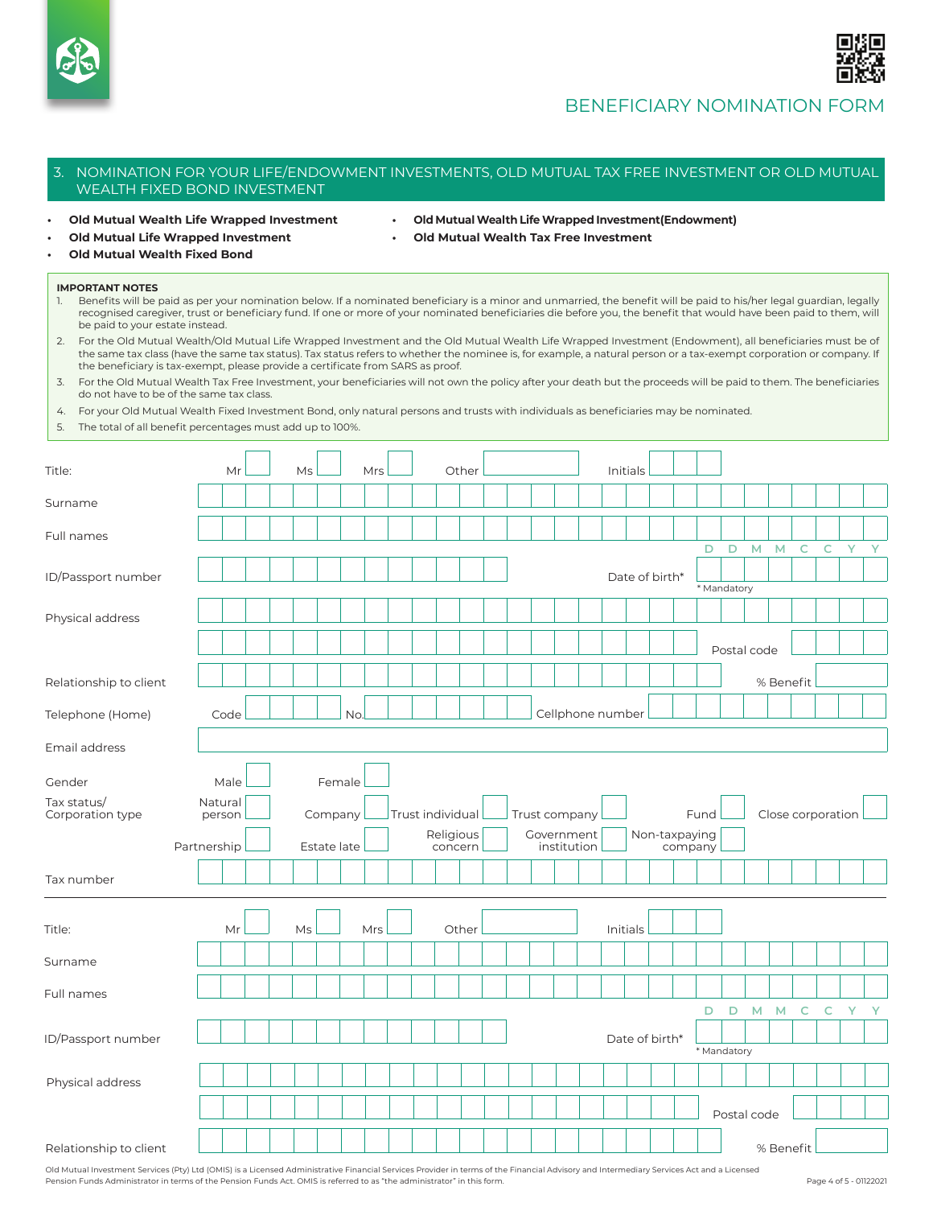



### 3. NOMINATION FOR YOUR LIFE/ENDOWMENT INVESTMENTS, OLD MUTUAL TAX FREE INVESTMENT OR OLD MUTUAL WEALTH FIXED BOND INVESTMENT

- 
- **• Old Mutual Wealth Life Wrapped Investment • Old Mutual Wealth Life Wrapped Investment(Endowment)**
- 
- **• Old Mutual Life Wrapped Investment • Old Mutual Wealth Tax Free Investment**
- **• Old Mutual Wealth Fixed Bond**

#### **IMPORTANT NOTES**

| Benefits will be paid as per your nomination below. If a nominated beneficiary is a minor and unmarried, the benefit will be paid to his/her legal quardian, legally |
|----------------------------------------------------------------------------------------------------------------------------------------------------------------------|
| recognised caregiver, trust or beneficiary fund. If one or more of your nominated beneficiaries die before you, the benefit that would have been paid to them, will  |
| be paid to your estate instead.                                                                                                                                      |

2. For the Old Mutual Wealth/Old Mutual Life Wrapped Investment and the Old Mutual Wealth Life Wrapped Investment (Endowment), all beneficiaries must be of the same tax class (have the same tax status). Tax status refers to whether the nominee is, for example, a natural person or a tax-exempt corporation or company. If the beneficiary is tax-exempt, please provide a certificate from SARS as proof.

3. For the Old Mutual Wealth Tax Free Investment, your beneficiaries will not own the policy after your death but the proceeds will be paid to them. The beneficiaries do not have to be of the same tax class.

|  |  |  | 4. For your Old Mutual Wealth Fixed Investment Bond, only natural persons and trusts with individuals as beneficiaries may be nominated. |  |
|--|--|--|------------------------------------------------------------------------------------------------------------------------------------------|--|
|  |  |  |                                                                                                                                          |  |

5. The total of all benefit percentages must add up to 100%.

| Title:                          | Mr                | Ms          | Mrs | Other                         |                             | Initials       |               |                       |                          |                   |                    |              |
|---------------------------------|-------------------|-------------|-----|-------------------------------|-----------------------------|----------------|---------------|-----------------------|--------------------------|-------------------|--------------------|--------------|
| Surname                         |                   |             |     |                               |                             |                |               |                       |                          |                   |                    |              |
| Full names                      |                   |             |     |                               |                             |                |               |                       |                          |                   |                    |              |
| ID/Passport number              |                   |             |     |                               |                             | Date of birth* |               | D<br>D<br>* Mandatory | M<br>M                   | $\mathsf{C}$      | Y.<br>$\mathsf{C}$ | $\mathbf{Y}$ |
| Physical address                |                   |             |     |                               |                             |                |               |                       |                          |                   |                    |              |
| Relationship to client          |                   |             |     |                               |                             |                |               |                       | Postal code<br>% Benefit |                   |                    |              |
| Telephone (Home)                | Code              |             | No. |                               | Cellphone number            |                |               |                       |                          |                   |                    |              |
| Email address                   |                   |             |     |                               |                             |                |               |                       |                          |                   |                    |              |
| Gender                          | Male              | Female      |     |                               |                             |                |               |                       |                          |                   |                    |              |
| Tax status/<br>Corporation type | Natural<br>person | Company     |     | Trust individual<br>Religious | Trust company<br>Government |                | Non-taxpaying | Fund                  |                          | Close corporation |                    |              |
|                                 | Partnership       | Estate late |     | concern                       | institution                 |                | company       |                       |                          |                   |                    |              |
| Tax number                      |                   |             |     |                               |                             |                |               |                       |                          |                   |                    |              |
| Title:                          | Mr                | Ms          | Mrs | Other                         |                             | Initials       |               |                       |                          |                   |                    |              |
| Surname                         |                   |             |     |                               |                             |                |               |                       |                          |                   |                    |              |
| Full names                      |                   |             |     |                               |                             |                |               |                       |                          |                   |                    |              |
| ID/Passport number              |                   |             |     |                               |                             | Date of birth* |               | D<br>D<br>* Mandatory | M<br><b>M</b>            | $\mathsf C$       | $\mathsf{C}$       | Y Y          |
| Physical address                |                   |             |     |                               |                             |                |               |                       |                          |                   |                    |              |
|                                 |                   |             |     |                               |                             |                |               |                       | Postal code              |                   |                    |              |
| Relationship to client          |                   |             |     |                               |                             |                |               |                       | % Benefit                |                   |                    |              |

Old Mutual Investment Services (Pty) Ltd (OMIS) is a Licensed Administrative Financial Services Provider in terms of the Financial Advisory and Intermediary Services Act and a Licensed Pension Funds Administrator in terms of the Pension Funds Act. OMIS is referred to as "the administrator" in this form.